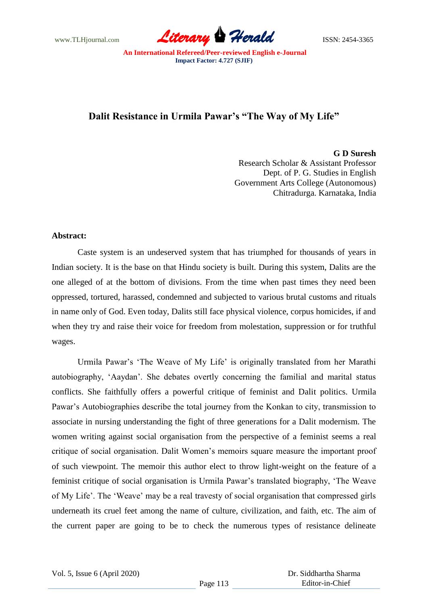www.TLHjournal.com *Literary Herald*ISSN: 2454-3365

# **Dalit Resistance in Urmila Pawar's "The Way of My Life"**

**G D Suresh**

Research Scholar & Assistant Professor Dept. of P. G. Studies in English Government Arts College (Autonomous) Chitradurga. Karnataka, India

#### **Abstract:**

Caste system is an undeserved system that has triumphed for thousands of years in Indian society. It is the base on that Hindu society is built. During this system, Dalits are the one alleged of at the bottom of divisions. From the time when past times they need been oppressed, tortured, harassed, condemned and subjected to various brutal customs and rituals in name only of God. Even today, Dalits still face physical violence, corpus homicides, if and when they try and raise their voice for freedom from molestation, suppression or for truthful wages.

Urmila Pawar's 'The Weave of My Life' is originally translated from her Marathi autobiography, "Aaydan". She debates overtly concerning the familial and marital status conflicts. She faithfully offers a powerful critique of feminist and Dalit politics. Urmila Pawar"s Autobiographies describe the total journey from the Konkan to city, transmission to associate in nursing understanding the fight of three generations for a Dalit modernism. The women writing against social organisation from the perspective of a feminist seems a real critique of social organisation. Dalit Women"s memoirs square measure the important proof of such viewpoint. The memoir this author elect to throw light-weight on the feature of a feminist critique of social organisation is Urmila Pawar"s translated biography, "The Weave of My Life". The "Weave" may be a real travesty of social organisation that compressed girls underneath its cruel feet among the name of culture, civilization, and faith, etc. The aim of the current paper are going to be to check the numerous types of resistance delineate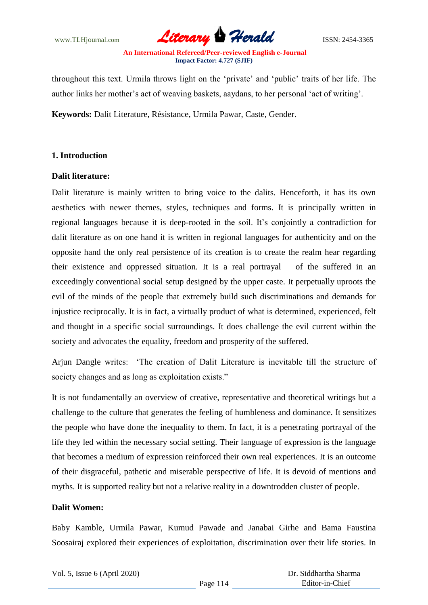www.TLHjournal.com **Literary Herald Herald ISSN: 2454-3365** 

throughout this text. Urmila throws light on the "private" and "public" traits of her life. The author links her mother"s act of weaving baskets, aaydans, to her personal "act of writing".

**Keywords:** Dalit Literature, Résistance, Urmila Pawar, Caste, Gender.

## **1. Introduction**

## **Dalit literature:**

Dalit literature is mainly written to bring voice to the dalits. Henceforth, it has its own aesthetics with newer themes, styles, techniques and forms. It is principally written in regional languages because it is deep-rooted in the soil. It"s conjointly a contradiction for dalit literature as on one hand it is written in regional languages for authenticity and on the opposite hand the only real persistence of its creation is to create the realm hear regarding their existence and oppressed situation. It is a real portrayal of the suffered in an exceedingly conventional social setup designed by the upper caste. It perpetually uproots the evil of the minds of the people that extremely build such discriminations and demands for injustice reciprocally. It is in fact, a virtually product of what is determined, experienced, felt and thought in a specific social surroundings. It does challenge the evil current within the society and advocates the equality, freedom and prosperity of the suffered.

Arjun Dangle writes: "The creation of Dalit Literature is inevitable till the structure of society changes and as long as exploitation exists."

It is not fundamentally an overview of creative, representative and theoretical writings but a challenge to the culture that generates the feeling of humbleness and dominance. It sensitizes the people who have done the inequality to them. In fact, it is a penetrating portrayal of the life they led within the necessary social setting. Their language of expression is the language that becomes a medium of expression reinforced their own real experiences. It is an outcome of their disgraceful, pathetic and miserable perspective of life. It is devoid of mentions and myths. It is supported reality but not a relative reality in a downtrodden cluster of people.

## **Dalit Women:**

Baby Kamble, Urmila Pawar, Kumud Pawade and Janabai Girhe and Bama Faustina Soosairaj explored their experiences of exploitation, discrimination over their life stories. In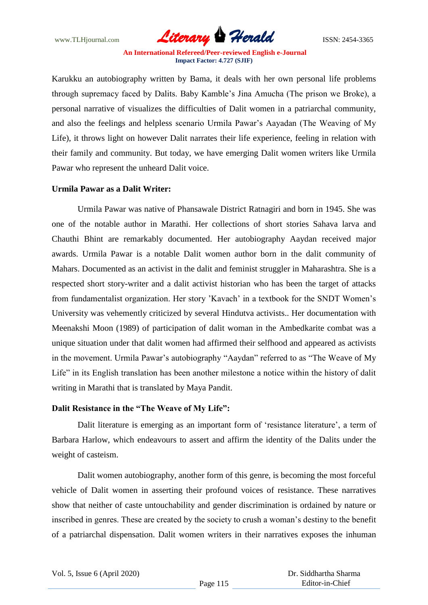www.TLHjournal.com **Literary Herald Herald ISSN: 2454-3365** 

Karukku an autobiography written by Bama, it deals with her own personal life problems through supremacy faced by Dalits. Baby Kamble"s Jina Amucha (The prison we Broke), a personal narrative of visualizes the difficulties of Dalit women in a patriarchal community, and also the feelings and helpless scenario Urmila Pawar"s Aayadan (The Weaving of My Life), it throws light on however Dalit narrates their life experience, feeling in relation with their family and community. But today, we have emerging Dalit women writers like Urmila Pawar who represent the unheard Dalit voice.

### **Urmila Pawar as a Dalit Writer:**

Urmila Pawar was native of Phansawale District Ratnagiri and born in 1945. She was one of the notable author in Marathi. Her collections of short stories Sahava larva and Chauthi Bhint are remarkably documented. Her autobiography Aaydan received major awards. Urmila Pawar is a notable Dalit women author born in the dalit community of Mahars. Documented as an activist in the dalit and feminist struggler in Maharashtra. She is a respected short story-writer and a dalit activist historian who has been the target of attacks from fundamentalist organization. Her story 'Kavach' in a textbook for the SNDT Women's University was vehemently criticized by several Hindutva activists.. Her documentation with Meenakshi Moon (1989) of participation of dalit woman in the Ambedkarite combat was a unique situation under that dalit women had affirmed their selfhood and appeared as activists in the movement. Urmila Pawar's autobiography "Aaydan" referred to as "The Weave of My Life" in its English translation has been another milestone a notice within the history of dalit writing in Marathi that is translated by Maya Pandit.

#### **Dalit Resistance in the "The Weave of My Life":**

Dalit literature is emerging as an important form of 'resistance literature', a term of Barbara Harlow, which endeavours to assert and affirm the identity of the Dalits under the weight of casteism.

Dalit women autobiography, another form of this genre, is becoming the most forceful vehicle of Dalit women in asserting their profound voices of resistance. These narratives show that neither of caste untouchability and gender discrimination is ordained by nature or inscribed in genres. These are created by the society to crush a woman"s destiny to the benefit of a patriarchal dispensation. Dalit women writers in their narratives exposes the inhuman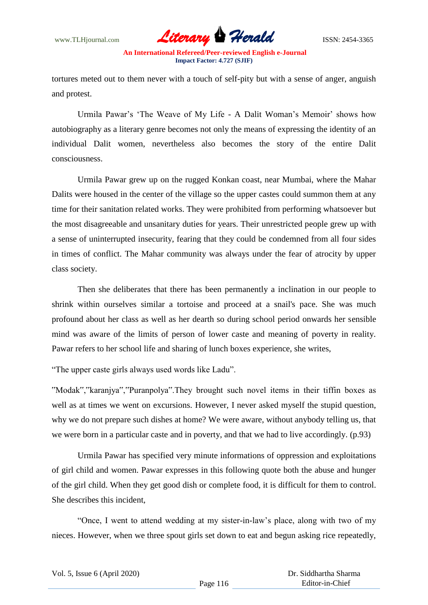

tortures meted out to them never with a touch of self-pity but with a sense of anger, anguish and protest.

Urmila Pawar's 'The Weave of My Life - A Dalit Woman's Memoir' shows how autobiography as a literary genre becomes not only the means of expressing the identity of an individual Dalit women, nevertheless also becomes the story of the entire Dalit consciousness.

Urmila Pawar grew up on the rugged Konkan coast, near Mumbai, where the Mahar Dalits were housed in the center of the village so the upper castes could summon them at any time for their sanitation related works. They were prohibited from performing whatsoever but the most disagreeable and unsanitary duties for years. Their unrestricted people grew up with a sense of uninterrupted insecurity, fearing that they could be condemned from all four sides in times of conflict. The Mahar community was always under the fear of atrocity by upper class society.

Then she deliberates that there has been permanently a inclination in our people to shrink within ourselves similar a tortoise and proceed at a snail's pace. She was much profound about her class as well as her dearth so during school period onwards her sensible mind was aware of the limits of person of lower caste and meaning of poverty in reality. Pawar refers to her school life and sharing of lunch boxes experience, she writes,

"The upper caste girls always used words like Ladu".

"Modak","karanjya","Puranpolya".They brought such novel items in their tiffin boxes as well as at times we went on excursions. However, I never asked myself the stupid question, why we do not prepare such dishes at home? We were aware, without anybody telling us, that we were born in a particular caste and in poverty, and that we had to live accordingly. (p.93)

Urmila Pawar has specified very minute informations of oppression and exploitations of girl child and women. Pawar expresses in this following quote both the abuse and hunger of the girl child. When they get good dish or complete food, it is difficult for them to control. She describes this incident,

"Once, I went to attend wedding at my sister-in-law"s place, along with two of my nieces. However, when we three spout girls set down to eat and begun asking rice repeatedly,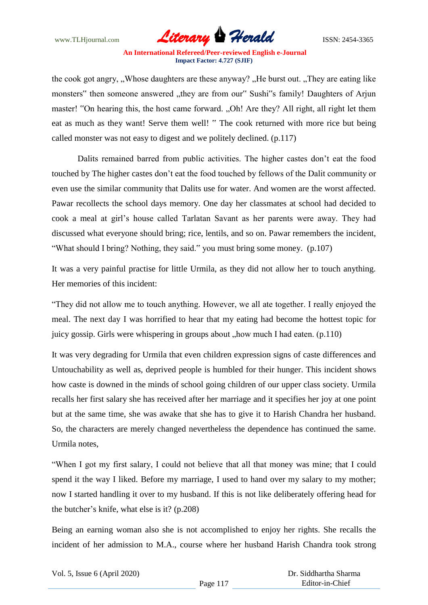

the cook got angry, "Whose daughters are these anyway?". He burst out. "They are eating like" monsters" then someone answered "they are from our" Sushi"s family! Daughters of Arjun master! "On hearing this, the host came forward. "Oh! Are they? All right, all right let them eat as much as they want! Serve them well! " The cook returned with more rice but being called monster was not easy to digest and we politely declined. (p.117)

Dalits remained barred from public activities. The higher castes don"t eat the food touched by The higher castes don"t eat the food touched by fellows of the Dalit community or even use the similar community that Dalits use for water. And women are the worst affected. Pawar recollects the school days memory. One day her classmates at school had decided to cook a meal at girl"s house called Tarlatan Savant as her parents were away. They had discussed what everyone should bring; rice, lentils, and so on. Pawar remembers the incident, "What should I bring? Nothing, they said." you must bring some money. (p.107)

It was a very painful practise for little Urmila, as they did not allow her to touch anything. Her memories of this incident:

"They did not allow me to touch anything. However, we all ate together. I really enjoyed the meal. The next day I was horrified to hear that my eating had become the hottest topic for juicy gossip. Girls were whispering in groups about "how much I had eaten.  $(p.110)$ 

It was very degrading for Urmila that even children expression signs of caste differences and Untouchability as well as, deprived people is humbled for their hunger. This incident shows how caste is downed in the minds of school going children of our upper class society. Urmila recalls her first salary she has received after her marriage and it specifies her joy at one point but at the same time, she was awake that she has to give it to Harish Chandra her husband. So, the characters are merely changed nevertheless the dependence has continued the same. Urmila notes,

"When I got my first salary, I could not believe that all that money was mine; that I could spend it the way I liked. Before my marriage, I used to hand over my salary to my mother; now I started handling it over to my husband. If this is not like deliberately offering head for the butcher"s knife, what else is it? (p.208)

Being an earning woman also she is not accomplished to enjoy her rights. She recalls the incident of her admission to M.A., course where her husband Harish Chandra took strong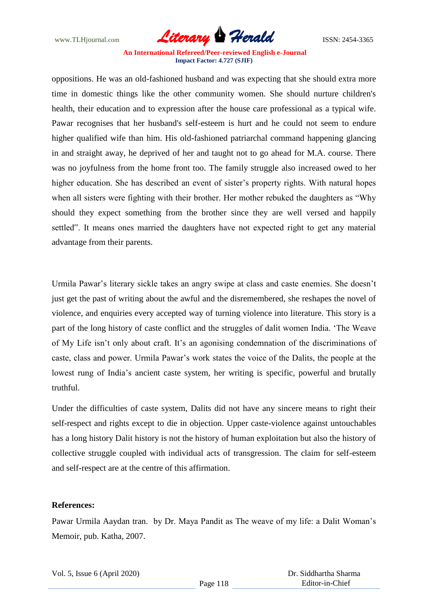

oppositions. He was an old-fashioned husband and was expecting that she should extra more time in domestic things like the other community women. She should nurture children's health, their education and to expression after the house care professional as a typical wife. Pawar recognises that her husband's self-esteem is hurt and he could not seem to endure higher qualified wife than him. His old-fashioned patriarchal command happening glancing in and straight away, he deprived of her and taught not to go ahead for M.A. course. There was no joyfulness from the home front too. The family struggle also increased owed to her higher education. She has described an event of sister's property rights. With natural hopes when all sisters were fighting with their brother. Her mother rebuked the daughters as "Why should they expect something from the brother since they are well versed and happily settled". It means ones married the daughters have not expected right to get any material advantage from their parents.

Urmila Pawar's literary sickle takes an angry swipe at class and caste enemies. She doesn't just get the past of writing about the awful and the disremembered, she reshapes the novel of violence, and enquiries every accepted way of turning violence into literature. This story is a part of the long history of caste conflict and the struggles of dalit women India. "The Weave of My Life isn"t only about craft. It"s an agonising condemnation of the discriminations of caste, class and power. Urmila Pawar"s work states the voice of the Dalits, the people at the lowest rung of India"s ancient caste system, her writing is specific, powerful and brutally truthful.

Under the difficulties of caste system, Dalits did not have any sincere means to right their self-respect and rights except to die in objection. Upper caste-violence against untouchables has a long history Dalit history is not the history of human exploitation but also the history of collective struggle coupled with individual acts of transgression. The claim for self-esteem and self-respect are at the centre of this affirmation.

#### **References:**

Pawar Urmila Aaydan tran. by Dr. Maya Pandit as The weave of my life: a Dalit Woman"s Memoir, pub. Katha, 2007.